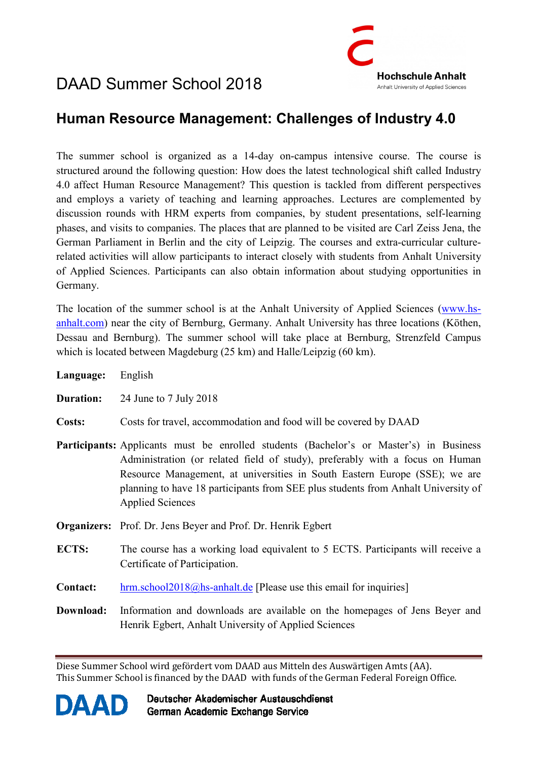# DAAD Summer School 2018



### **Human Resource Management: Challenges of Industry 4.0**

The summer school is organized as a 14-day on-campus intensive course. The course is structured around the following question: How does the latest technological shift called Industry 4.0 affect Human Resource Management? This question is tackled from different perspectives and employs a variety of teaching and learning approaches. Lectures are complemented by discussion rounds with HRM experts from companies, by student presentations, self-learning phases, and visits to companies. The places that are planned to be visited are Carl Zeiss Jena, the German Parliament in Berlin and the city of Leipzig. The courses and extra-curricular culturerelated activities will allow participants to interact closely with students from Anhalt University of Applied Sciences. Participants can also obtain information about studying opportunities in Germany.

The location of the summer school is at the Anhalt University of Applied Sciences (www.hsanhalt.com) near the city of Bernburg, Germany. Anhalt University has three locations (Köthen, Dessau and Bernburg). The summer school will take place at Bernburg, Strenzfeld Campus which is located between Magdeburg (25 km) and Halle/Leipzig (60 km).

| Language:        | English                                                                                                                                                                                                                                                                                                                                                               |
|------------------|-----------------------------------------------------------------------------------------------------------------------------------------------------------------------------------------------------------------------------------------------------------------------------------------------------------------------------------------------------------------------|
| <b>Duration:</b> | 24 June to 7 July 2018                                                                                                                                                                                                                                                                                                                                                |
| Costs:           | Costs for travel, accommodation and food will be covered by DAAD                                                                                                                                                                                                                                                                                                      |
|                  | Participants: Applicants must be enrolled students (Bachelor's or Master's) in Business<br>Administration (or related field of study), preferably with a focus on Human<br>Resource Management, at universities in South Eastern Europe (SSE); we are<br>planning to have 18 participants from SEE plus students from Anhalt University of<br><b>Applied Sciences</b> |
|                  | <b>Organizers:</b> Prof. Dr. Jens Beyer and Prof. Dr. Henrik Egbert                                                                                                                                                                                                                                                                                                   |
| ECTS:            | The course has a working load equivalent to 5 ECTS. Participants will receive a<br>Certificate of Participation.                                                                                                                                                                                                                                                      |
| <b>Contact:</b>  | $\frac{\text{hrm.school2018} \text{ }a\text{m.s.}}{\text{hcm.s.}}$ [Please use this email for inquiries]                                                                                                                                                                                                                                                              |
| Download:        | Information and downloads are available on the homepages of Jens Beyer and<br>Henrik Egbert, Anhalt University of Applied Sciences                                                                                                                                                                                                                                    |

Diese Summer School wird gefördert vom DAAD aus Mitteln des Auswärtigen Amts (AA). This Summer School is financed by the DAAD with funds of the German Federal Foreign Office.



Deutscher Akademischer Austauschdienst German Academic Exchange Service